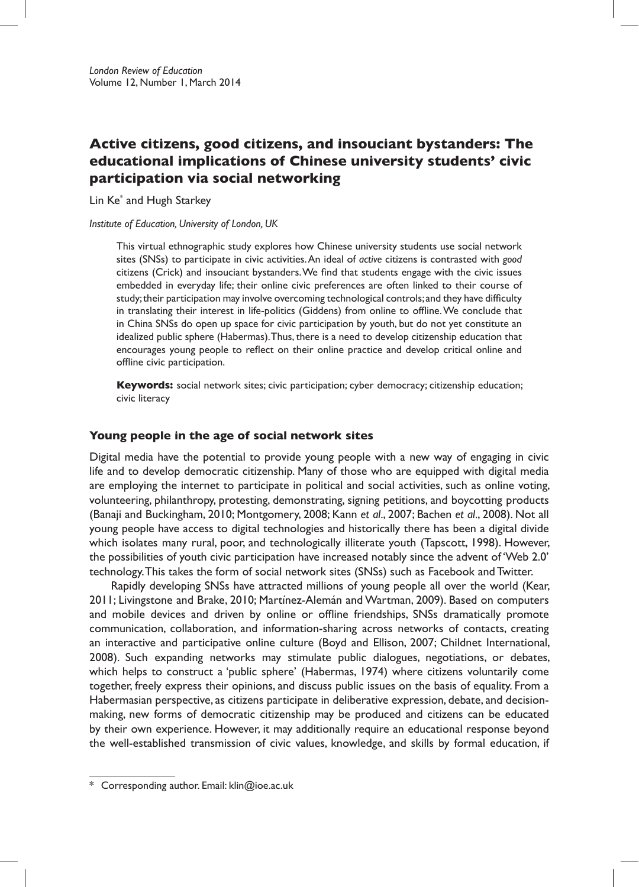# **Active citizens, good citizens, and insouciant bystanders: The educational implications of Chinese university students' civic participation via social networking**

Lin Ke\* and Hugh Starkey

## *Institute of Education, University of London, UK*

This virtual ethnographic study explores how Chinese university students use social network sites (SNSs) to participate in civic activities. An ideal of *active* citizens is contrasted with *good* citizens (Crick) and insouciant bystanders. We find that students engage with the civic issues embedded in everyday life; their online civic preferences are often linked to their course of study; their participation may involve overcoming technological controls; and they have difficulty in translating their interest in life-politics (Giddens) from online to offline. We conclude that in China SNSs do open up space for civic participation by youth, but do not yet constitute an idealized public sphere (Habermas). Thus, there is a need to develop citizenship education that encourages young people to reflect on their online practice and develop critical online and offline civic participation.

**Keywords:** social network sites; civic participation; cyber democracy; citizenship education; civic literacy

# **Young people in the age of social network sites**

Digital media have the potential to provide young people with a new way of engaging in civic life and to develop democratic citizenship. Many of those who are equipped with digital media are employing the internet to participate in political and social activities, such as online voting, volunteering, philanthropy, protesting, demonstrating, signing petitions, and boycotting products (Banaji and Buckingham, 2010; Montgomery, 2008; Kann *et al*., 2007; Bachen *et al*., 2008). Not all young people have access to digital technologies and historically there has been a digital divide which isolates many rural, poor, and technologically illiterate youth (Tapscott, 1998). However, the possibilities of youth civic participation have increased notably since the advent of 'Web 2.0' technology. This takes the form of social network sites (SNSs) such as Facebook and Twitter.

Rapidly developing SNSs have attracted millions of young people all over the world (Kear, 2011; Livingstone and Brake, 2010; Martínez-Alemán and Wartman, 2009). Based on computers and mobile devices and driven by online or offline friendships, SNSs dramatically promote communication, collaboration, and information-sharing across networks of contacts, creating an interactive and participative online culture (Boyd and Ellison, 2007; Childnet International, 2008). Such expanding networks may stimulate public dialogues, negotiations, or debates, which helps to construct a 'public sphere' (Habermas, 1974) where citizens voluntarily come together, freely express their opinions, and discuss public issues on the basis of equality. From a Habermasian perspective, as citizens participate in deliberative expression, debate, and decisionmaking, new forms of democratic citizenship may be produced and citizens can be educated by their own experience. However, it may additionally require an educational response beyond the well-established transmission of civic values, knowledge, and skills by formal education, if

<sup>\*</sup> Corresponding author. Email: klin@ioe.ac.uk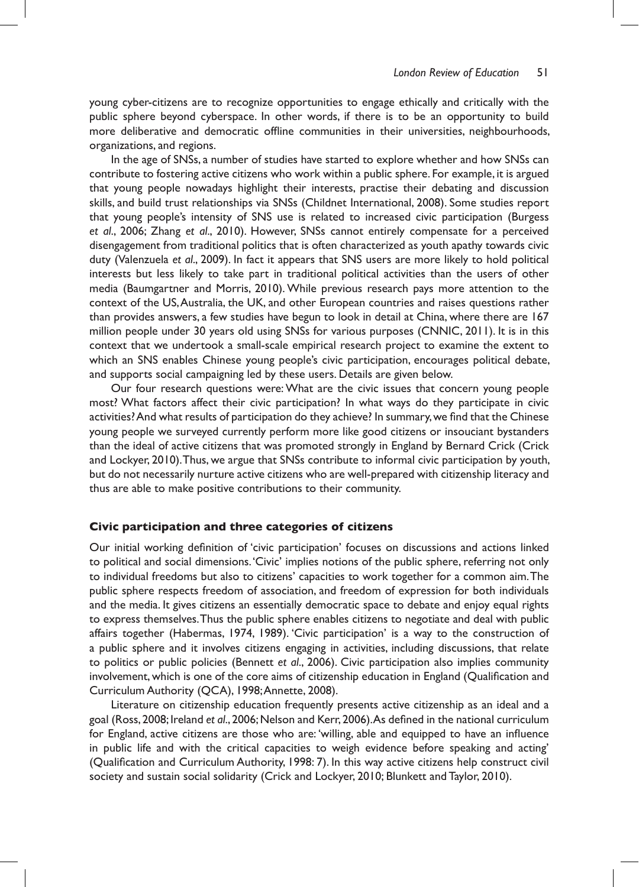young cyber-citizens are to recognize opportunities to engage ethically and critically with the public sphere beyond cyberspace. In other words, if there is to be an opportunity to build more deliberative and democratic offline communities in their universities, neighbourhoods, organizations, and regions.

In the age of SNSs, a number of studies have started to explore whether and how SNSs can contribute to fostering active citizens who work within a public sphere. For example, it is argued that young people nowadays highlight their interests, practise their debating and discussion skills, and build trust relationships via SNSs (Childnet International, 2008). Some studies report that young people's intensity of SNS use is related to increased civic participation (Burgess *et al*., 2006; Zhang *et al*., 2010). However, SNSs cannot entirely compensate for a perceived disengagement from traditional politics that is often characterized as youth apathy towards civic duty (Valenzuela *et al*., 2009). In fact it appears that SNS users are more likely to hold political interests but less likely to take part in traditional political activities than the users of other media (Baumgartner and Morris, 2010). While previous research pays more attention to the context of the US, Australia, the UK, and other European countries and raises questions rather than provides answers, a few studies have begun to look in detail at China, where there are 167 million people under 30 years old using SNSs for various purposes (CNNIC, 2011). It is in this context that we undertook a small-scale empirical research project to examine the extent to which an SNS enables Chinese young people's civic participation, encourages political debate, and supports social campaigning led by these users. Details are given below.

Our four research questions were: What are the civic issues that concern young people most? What factors affect their civic participation? In what ways do they participate in civic activities? And what results of participation do they achieve? In summary, we find that the Chinese young people we surveyed currently perform more like good citizens or insouciant bystanders than the ideal of active citizens that was promoted strongly in England by Bernard Crick (Crick and Lockyer, 2010). Thus, we argue that SNSs contribute to informal civic participation by youth, but do not necessarily nurture active citizens who are well-prepared with citizenship literacy and thus are able to make positive contributions to their community.

# **Civic participation and three categories of citizens**

Our initial working definition of 'civic participation' focuses on discussions and actions linked to political and social dimensions. 'Civic' implies notions of the public sphere, referring not only to individual freedoms but also to citizens' capacities to work together for a common aim. The public sphere respects freedom of association, and freedom of expression for both individuals and the media. It gives citizens an essentially democratic space to debate and enjoy equal rights to express themselves. Thus the public sphere enables citizens to negotiate and deal with public affairs together (Habermas, 1974, 1989). 'Civic participation' is a way to the construction of a public sphere and it involves citizens engaging in activities, including discussions, that relate to politics or public policies (Bennett *et al*., 2006). Civic participation also implies community involvement, which is one of the core aims of citizenship education in England (Qualification and Curriculum Authority (QCA), 1998; Annette, 2008).

Literature on citizenship education frequently presents active citizenship as an ideal and a goal (Ross, 2008; Ireland *et al*., 2006; Nelson and Kerr, 2006). As defined in the national curriculum for England, active citizens are those who are: 'willing, able and equipped to have an influence in public life and with the critical capacities to weigh evidence before speaking and acting' (Qualification and Curriculum Authority, 1998: 7). In this way active citizens help construct civil society and sustain social solidarity (Crick and Lockyer, 2010; Blunkett and Taylor, 2010).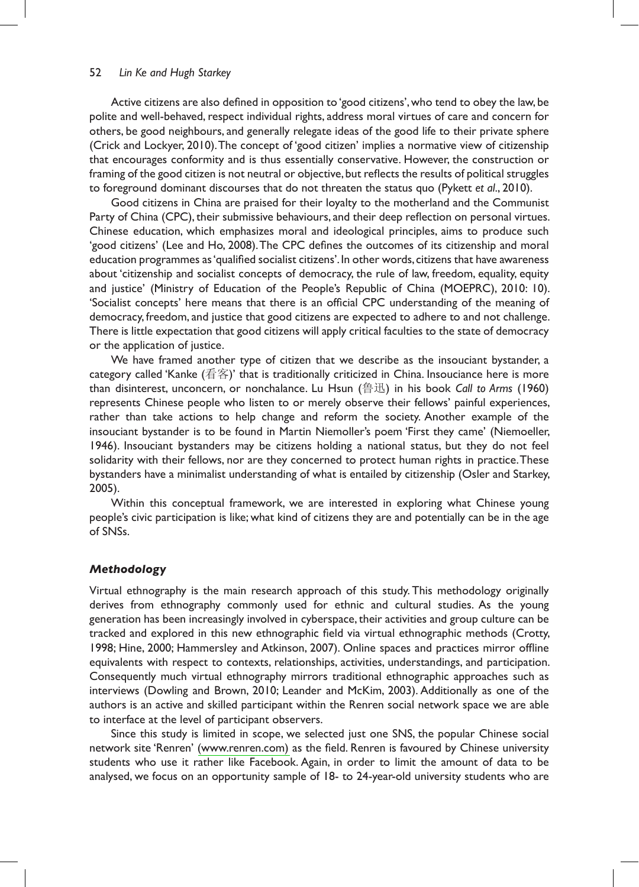# 52 *Lin Ke and Hugh Starkey*

Active citizens are also defined in opposition to 'good citizens', who tend to obey the law, be polite and well-behaved, respect individual rights, address moral virtues of care and concern for others, be good neighbours, and generally relegate ideas of the good life to their private sphere (Crick and Lockyer, 2010). The concept of 'good citizen' implies a normative view of citizenship that encourages conformity and is thus essentially conservative. However, the construction or framing of the good citizen is not neutral or objective, but reflects the results of political struggles to foreground dominant discourses that do not threaten the status quo (Pykett *et al*., 2010).

Good citizens in China are praised for their loyalty to the motherland and the Communist Party of China (CPC), their submissive behaviours, and their deep reflection on personal virtues. Chinese education, which emphasizes moral and ideological principles, aims to produce such 'good citizens' (Lee and Ho, 2008). The CPC defines the outcomes of its citizenship and moral education programmes as 'qualified socialist citizens'. In other words, citizens that have awareness about 'citizenship and socialist concepts of democracy, the rule of law, freedom, equality, equity and justice' (Ministry of Education of the People's Republic of China (MOEPRC), 2010: 10). 'Socialist concepts' here means that there is an official CPC understanding of the meaning of democracy, freedom, and justice that good citizens are expected to adhere to and not challenge. There is little expectation that good citizens will apply critical faculties to the state of democracy or the application of justice.

We have framed another type of citizen that we describe as the insouciant bystander, a category called 'Kanke (看客)' that is traditionally criticized in China. Insouciance here is more than disinterest, unconcern, or nonchalance. Lu Hsun (鲁迅) in his book *Call to Arms* (1960) represents Chinese people who listen to or merely observe their fellows' painful experiences, rather than take actions to help change and reform the society. Another example of the insouciant bystander is to be found in Martin Niemoller's poem 'First they came' (Niemoeller, 1946). Insouciant bystanders may be citizens holding a national status, but they do not feel solidarity with their fellows, nor are they concerned to protect human rights in practice. These bystanders have a minimalist understanding of what is entailed by citizenship (Osler and Starkey, 2005).

Within this conceptual framework, we are interested in exploring what Chinese young people's civic participation is like; what kind of citizens they are and potentially can be in the age of SNSs.

# *Methodology*

Virtual ethnography is the main research approach of this study. This methodology originally derives from ethnography commonly used for ethnic and cultural studies. As the young generation has been increasingly involved in cyberspace, their activities and group culture can be tracked and explored in this new ethnographic field via virtual ethnographic methods (Crotty, 1998; Hine, 2000; Hammersley and Atkinson, 2007). Online spaces and practices mirror offline equivalents with respect to contexts, relationships, activities, understandings, and participation. Consequently much virtual ethnography mirrors traditional ethnographic approaches such as interviews (Dowling and Brown, 2010; Leander and McKim, 2003). Additionally as one of the authors is an active and skilled participant within the Renren social network space we are able to interface at the level of participant observers.

Since this study is limited in scope, we selected just one SNS, the popular Chinese social network site 'Renren' [\(www.renren.com\)](http://www.renren.com) as the field. Renren is favoured by Chinese university students who use it rather like Facebook. Again, in order to limit the amount of data to be analysed, we focus on an opportunity sample of 18- to 24-year-old university students who are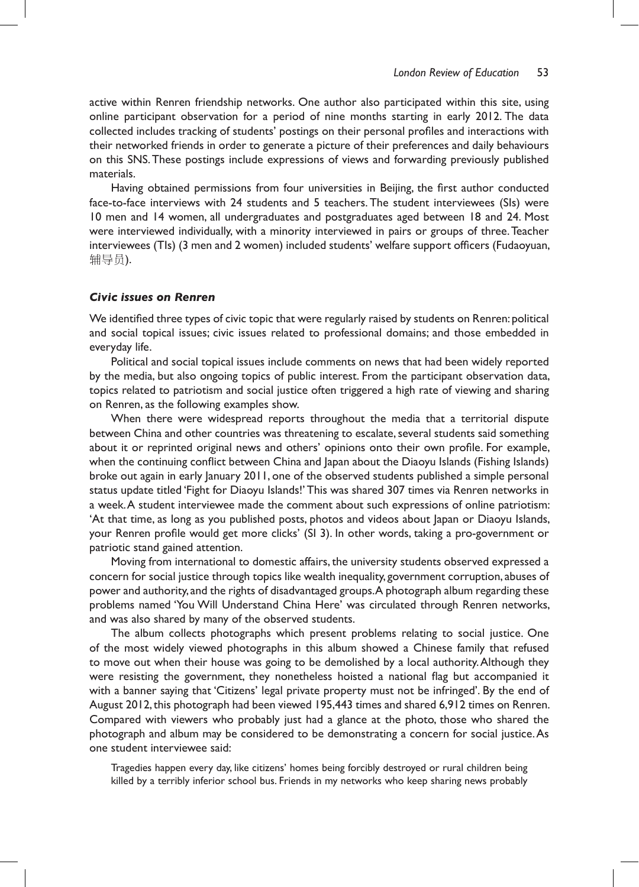active within Renren friendship networks. One author also participated within this site, using online participant observation for a period of nine months starting in early 2012. The data collected includes tracking of students' postings on their personal profiles and interactions with their networked friends in order to generate a picture of their preferences and daily behaviours on this SNS. These postings include expressions of views and forwarding previously published materials.

Having obtained permissions from four universities in Beijing, the first author conducted face-to-face interviews with 24 students and 5 teachers. The student interviewees (SIs) were 10 men and 14 women, all undergraduates and postgraduates aged between 18 and 24. Most were interviewed individually, with a minority interviewed in pairs or groups of three. Teacher interviewees (TIs) (3 men and 2 women) included students' welfare support officers (Fudaoyuan, 辅导员).

# *Civic issues on Renren*

We identified three types of civic topic that were regularly raised by students on Renren: political and social topical issues; civic issues related to professional domains; and those embedded in everyday life.

Political and social topical issues include comments on news that had been widely reported by the media, but also ongoing topics of public interest. From the participant observation data, topics related to patriotism and social justice often triggered a high rate of viewing and sharing on Renren, as the following examples show.

When there were widespread reports throughout the media that a territorial dispute between China and other countries was threatening to escalate, several students said something about it or reprinted original news and others' opinions onto their own profile. For example, when the continuing conflict between China and Japan about the Diaoyu Islands (Fishing Islands) broke out again in early January 2011, one of the observed students published a simple personal status update titled 'Fight for Diaoyu Islands!' This was shared 307 times via Renren networks in a week. A student interviewee made the comment about such expressions of online patriotism: 'At that time, as long as you published posts, photos and videos about Japan or Diaoyu Islands, your Renren profile would get more clicks' (SI 3). In other words, taking a pro-government or patriotic stand gained attention.

Moving from international to domestic affairs, the university students observed expressed a concern for social justice through topics like wealth inequality, government corruption, abuses of power and authority, and the rights of disadvantaged groups. A photograph album regarding these problems named 'You Will Understand China Here' was circulated through Renren networks, and was also shared by many of the observed students.

The album collects photographs which present problems relating to social justice. One of the most widely viewed photographs in this album showed a Chinese family that refused to move out when their house was going to be demolished by a local authority. Although they were resisting the government, they nonetheless hoisted a national flag but accompanied it with a banner saying that 'Citizens' legal private property must not be infringed'. By the end of August 2012, this photograph had been viewed 195,443 times and shared 6,912 times on Renren. Compared with viewers who probably just had a glance at the photo, those who shared the photograph and album may be considered to be demonstrating a concern for social justice. As one student interviewee said:

Tragedies happen every day, like citizens' homes being forcibly destroyed or rural children being killed by a terribly inferior school bus. Friends in my networks who keep sharing news probably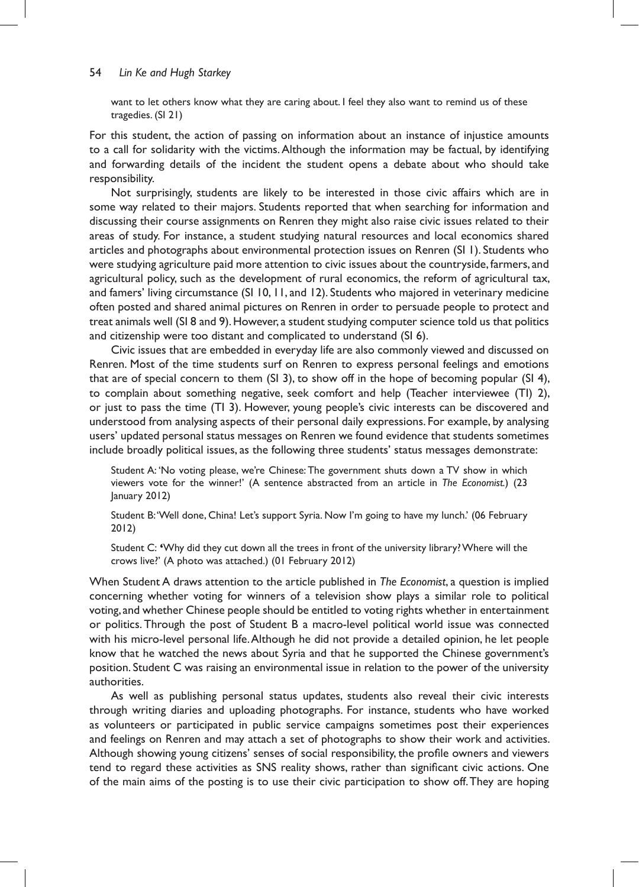want to let others know what they are caring about. I feel they also want to remind us of these tragedies. (SI 21)

For this student, the action of passing on information about an instance of injustice amounts to a call for solidarity with the victims. Although the information may be factual, by identifying and forwarding details of the incident the student opens a debate about who should take responsibility.

Not surprisingly, students are likely to be interested in those civic affairs which are in some way related to their majors. Students reported that when searching for information and discussing their course assignments on Renren they might also raise civic issues related to their areas of study. For instance, a student studying natural resources and local economics shared articles and photographs about environmental protection issues on Renren (SI 1). Students who were studying agriculture paid more attention to civic issues about the countryside, farmers, and agricultural policy, such as the development of rural economics, the reform of agricultural tax, and famers' living circumstance (SI 10, 11, and 12). Students who majored in veterinary medicine often posted and shared animal pictures on Renren in order to persuade people to protect and treat animals well (SI 8 and 9). However, a student studying computer science told us that politics and citizenship were too distant and complicated to understand (SI 6).

Civic issues that are embedded in everyday life are also commonly viewed and discussed on Renren. Most of the time students surf on Renren to express personal feelings and emotions that are of special concern to them (SI 3), to show off in the hope of becoming popular (SI 4), to complain about something negative, seek comfort and help (Teacher interviewee (TI) 2), or just to pass the time (TI 3). However, young people's civic interests can be discovered and understood from analysing aspects of their personal daily expressions. For example, by analysing users' updated personal status messages on Renren we found evidence that students sometimes include broadly political issues, as the following three students' status messages demonstrate:

Student A: 'No voting please, we're Chinese: The government shuts down a TV show in which viewers vote for the winner!' (A sentence abstracted from an article in *The Economist.*) (23 January 2012)

Student B: 'Well done, China! Let's support Syria. Now I'm going to have my lunch.' (06 February 2012)

Student C: **'**Why did they cut down all the trees in front of the university library? Where will the crows live?' (A photo was attached.) (01 February 2012)

When Student A draws attention to the article published in *The Economist*, a question is implied concerning whether voting for winners of a television show plays a similar role to political voting, and whether Chinese people should be entitled to voting rights whether in entertainment or politics. Through the post of Student B a macro-level political world issue was connected with his micro-level personal life. Although he did not provide a detailed opinion, he let people know that he watched the news about Syria and that he supported the Chinese government's position. Student C was raising an environmental issue in relation to the power of the university authorities.

As well as publishing personal status updates, students also reveal their civic interests through writing diaries and uploading photographs. For instance, students who have worked as volunteers or participated in public service campaigns sometimes post their experiences and feelings on Renren and may attach a set of photographs to show their work and activities. Although showing young citizens' senses of social responsibility, the profile owners and viewers tend to regard these activities as SNS reality shows, rather than significant civic actions. One of the main aims of the posting is to use their civic participation to show off. They are hoping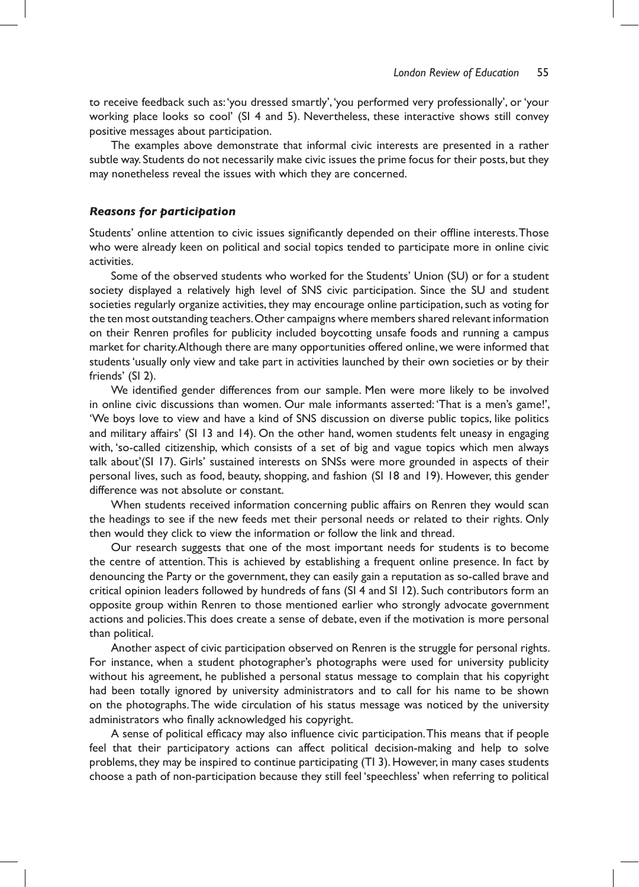to receive feedback such as: 'you dressed smartly', 'you performed very professionally', or 'your working place looks so cool' (SI 4 and 5). Nevertheless, these interactive shows still convey positive messages about participation.

The examples above demonstrate that informal civic interests are presented in a rather subtle way. Students do not necessarily make civic issues the prime focus for their posts, but they may nonetheless reveal the issues with which they are concerned.

# *Reasons for participation*

Students' online attention to civic issues significantly depended on their offline interests. Those who were already keen on political and social topics tended to participate more in online civic activities.

Some of the observed students who worked for the Students' Union (SU) or for a student society displayed a relatively high level of SNS civic participation. Since the SU and student societies regularly organize activities, they may encourage online participation, such as voting for the ten most outstanding teachers. Other campaigns where members shared relevant information on their Renren profiles for publicity included boycotting unsafe foods and running a campus market for charity. Although there are many opportunities offered online, we were informed that students 'usually only view and take part in activities launched by their own societies or by their friends' (SI 2).

We identified gender differences from our sample. Men were more likely to be involved in online civic discussions than women. Our male informants asserted: 'That is a men's game!', 'We boys love to view and have a kind of SNS discussion on diverse public topics, like politics and military affairs' (SI 13 and 14). On the other hand, women students felt uneasy in engaging with, 'so-called citizenship, which consists of a set of big and vague topics which men always talk about'(SI 17). Girls' sustained interests on SNSs were more grounded in aspects of their personal lives, such as food, beauty, shopping, and fashion (SI 18 and 19). However, this gender difference was not absolute or constant.

When students received information concerning public affairs on Renren they would scan the headings to see if the new feeds met their personal needs or related to their rights. Only then would they click to view the information or follow the link and thread.

Our research suggests that one of the most important needs for students is to become the centre of attention. This is achieved by establishing a frequent online presence. In fact by denouncing the Party or the government, they can easily gain a reputation as so-called brave and critical opinion leaders followed by hundreds of fans (SI 4 and SI 12). Such contributors form an opposite group within Renren to those mentioned earlier who strongly advocate government actions and policies. This does create a sense of debate, even if the motivation is more personal than political.

Another aspect of civic participation observed on Renren is the struggle for personal rights. For instance, when a student photographer's photographs were used for university publicity without his agreement, he published a personal status message to complain that his copyright had been totally ignored by university administrators and to call for his name to be shown on the photographs. The wide circulation of his status message was noticed by the university administrators who finally acknowledged his copyright.

A sense of political efficacy may also influence civic participation. This means that if people feel that their participatory actions can affect political decision-making and help to solve problems, they may be inspired to continue participating (TI 3). However, in many cases students choose a path of non-participation because they still feel 'speechless' when referring to political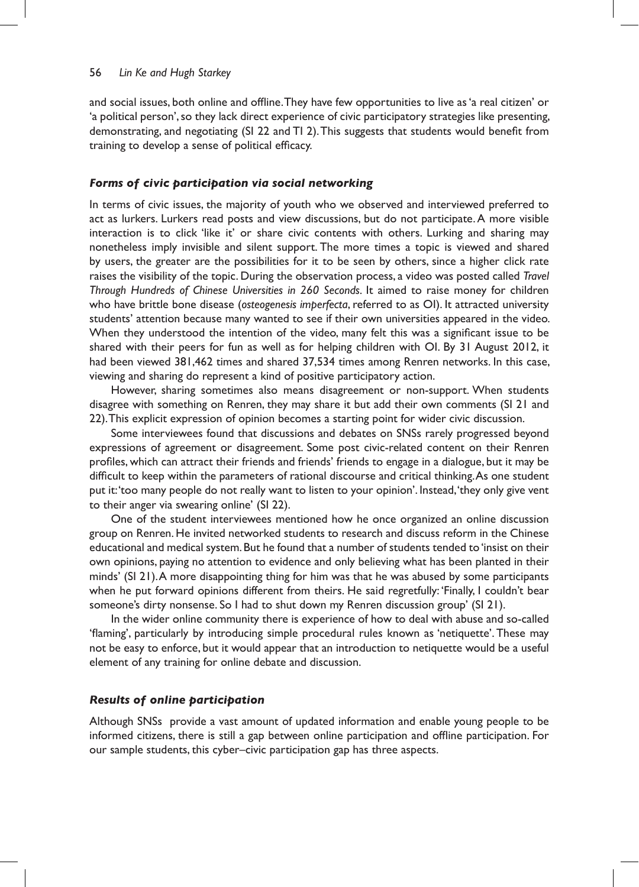# 56 *Lin Ke and Hugh Starkey*

and social issues, both online and offline. They have few opportunities to live as 'a real citizen' or 'a political person', so they lack direct experience of civic participatory strategies like presenting, demonstrating, and negotiating (SI 22 and TI 2). This suggests that students would benefit from training to develop a sense of political efficacy.

#### *Forms of civic participation via social networking*

In terms of civic issues, the majority of youth who we observed and interviewed preferred to act as lurkers. Lurkers read posts and view discussions, but do not participate. A more visible interaction is to click 'like it' or share civic contents with others. Lurking and sharing may nonetheless imply invisible and silent support. The more times a topic is viewed and shared by users, the greater are the possibilities for it to be seen by others, since a higher click rate raises the visibility of the topic. During the observation process, a video was posted called *Travel Through Hundreds of Chinese Universities in 260 Seconds.* It aimed to raise money for children who have brittle bone disease (*osteogenesis imperfecta*, referred to as OI). It attracted university students' attention because many wanted to see if their own universities appeared in the video. When they understood the intention of the video, many felt this was a significant issue to be shared with their peers for fun as well as for helping children with OI. By 31 August 2012, it had been viewed 381,462 times and shared 37,534 times among Renren networks. In this case, viewing and sharing do represent a kind of positive participatory action.

However, sharing sometimes also means disagreement or non-support. When students disagree with something on Renren, they may share it but add their own comments (SI 21 and 22). This explicit expression of opinion becomes a starting point for wider civic discussion.

Some interviewees found that discussions and debates on SNSs rarely progressed beyond expressions of agreement or disagreement. Some post civic-related content on their Renren profiles, which can attract their friends and friends' friends to engage in a dialogue, but it may be difficult to keep within the parameters of rational discourse and critical thinking. As one student put it: 'too many people do not really want to listen to your opinion'. Instead, 'they only give vent to their anger via swearing online' (SI 22).

One of the student interviewees mentioned how he once organized an online discussion group on Renren. He invited networked students to research and discuss reform in the Chinese educational and medical system. But he found that a number of students tended to 'insist on their own opinions, paying no attention to evidence and only believing what has been planted in their minds' (SI 21). A more disappointing thing for him was that he was abused by some participants when he put forward opinions different from theirs. He said regretfully: 'Finally, I couldn't bear someone's dirty nonsense. So I had to shut down my Renren discussion group' (SI 21).

In the wider online community there is experience of how to deal with abuse and so-called 'flaming', particularly by introducing simple procedural rules known as 'netiquette'. These may not be easy to enforce, but it would appear that an introduction to netiquette would be a useful element of any training for online debate and discussion.

# *Results of online participation*

Although SNSs provide a vast amount of updated information and enable young people to be informed citizens, there is still a gap between online participation and offline participation. For our sample students, this cyber–civic participation gap has three aspects.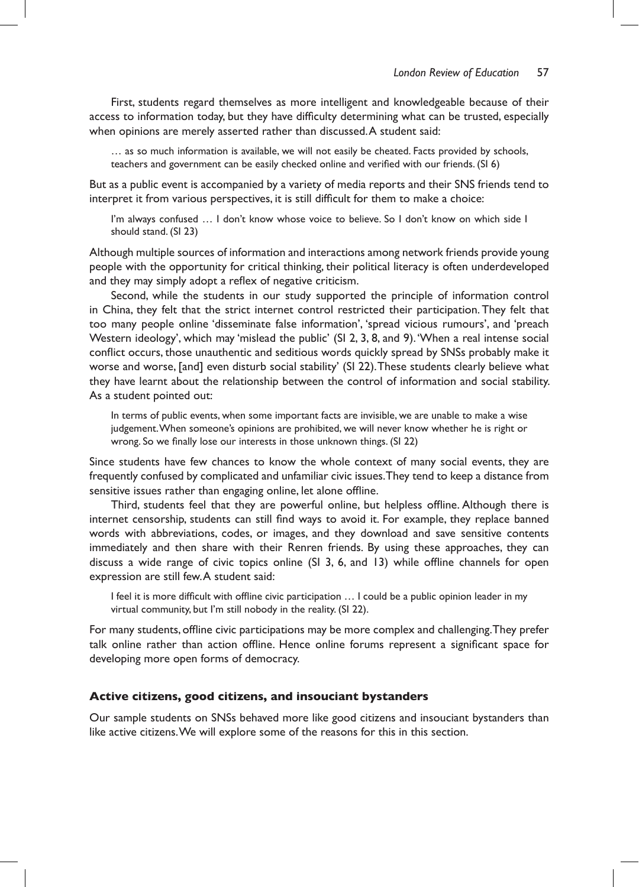First, students regard themselves as more intelligent and knowledgeable because of their access to information today, but they have difficulty determining what can be trusted, especially when opinions are merely asserted rather than discussed. A student said:

… as so much information is available, we will not easily be cheated. Facts provided by schools, teachers and government can be easily checked online and verified with our friends. (SI 6)

But as a public event is accompanied by a variety of media reports and their SNS friends tend to interpret it from various perspectives, it is still difficult for them to make a choice:

I'm always confused … I don't know whose voice to believe. So I don't know on which side I should stand. (SI 23)

Although multiple sources of information and interactions among network friends provide young people with the opportunity for critical thinking, their political literacy is often underdeveloped and they may simply adopt a reflex of negative criticism.

Second, while the students in our study supported the principle of information control in China, they felt that the strict internet control restricted their participation. They felt that too many people online 'disseminate false information', 'spread vicious rumours', and 'preach Western ideology', which may 'mislead the public' (SI 2, 3, 8, and 9). 'When a real intense social conflict occurs, those unauthentic and seditious words quickly spread by SNSs probably make it worse and worse, [and] even disturb social stability' (SI 22). These students clearly believe what they have learnt about the relationship between the control of information and social stability. As a student pointed out:

In terms of public events, when some important facts are invisible, we are unable to make a wise judgement. When someone's opinions are prohibited, we will never know whether he is right or wrong. So we finally lose our interests in those unknown things. (SI 22)

Since students have few chances to know the whole context of many social events, they are frequently confused by complicated and unfamiliar civic issues. They tend to keep a distance from sensitive issues rather than engaging online, let alone offline.

Third, students feel that they are powerful online, but helpless offline. Although there is internet censorship, students can still find ways to avoid it. For example, they replace banned words with abbreviations, codes, or images, and they download and save sensitive contents immediately and then share with their Renren friends. By using these approaches, they can discuss a wide range of civic topics online (SI 3, 6, and 13) while offline channels for open expression are still few. A student said:

I feel it is more difficult with offline civic participation … I could be a public opinion leader in my virtual community, but I'm still nobody in the reality. (SI 22).

For many students, offline civic participations may be more complex and challenging. They prefer talk online rather than action offline. Hence online forums represent a significant space for developing more open forms of democracy.

# **Active citizens, good citizens, and insouciant bystanders**

Our sample students on SNSs behaved more like good citizens and insouciant bystanders than like active citizens. We will explore some of the reasons for this in this section.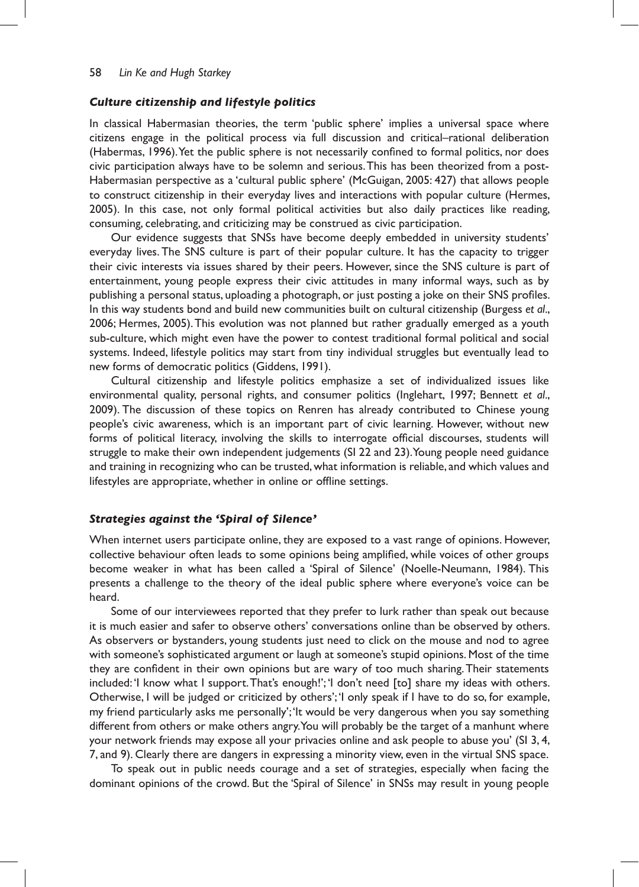# *Culture citizenship and lifestyle politics*

In classical Habermasian theories, the term 'public sphere' implies a universal space where citizens engage in the political process via full discussion and critical–rational deliberation (Habermas, 1996). Yet the public sphere is not necessarily confined to formal politics, nor does civic participation always have to be solemn and serious. This has been theorized from a post-Habermasian perspective as a 'cultural public sphere' (McGuigan, 2005: 427) that allows people to construct citizenship in their everyday lives and interactions with popular culture (Hermes, 2005). In this case, not only formal political activities but also daily practices like reading, consuming, celebrating, and criticizing may be construed as civic participation.

Our evidence suggests that SNSs have become deeply embedded in university students' everyday lives. The SNS culture is part of their popular culture. It has the capacity to trigger their civic interests via issues shared by their peers. However, since the SNS culture is part of entertainment, young people express their civic attitudes in many informal ways, such as by publishing a personal status, uploading a photograph, or just posting a joke on their SNS profiles. In this way students bond and build new communities built on cultural citizenship (Burgess *et al*., 2006; Hermes, 2005). This evolution was not planned but rather gradually emerged as a youth sub-culture, which might even have the power to contest traditional formal political and social systems. Indeed, lifestyle politics may start from tiny individual struggles but eventually lead to new forms of democratic politics (Giddens, 1991).

Cultural citizenship and lifestyle politics emphasize a set of individualized issues like environmental quality, personal rights, and consumer politics (Inglehart, 1997; Bennett *et al*., 2009). The discussion of these topics on Renren has already contributed to Chinese young people's civic awareness, which is an important part of civic learning. However, without new forms of political literacy, involving the skills to interrogate official discourses, students will struggle to make their own independent judgements (SI 22 and 23). Young people need guidance and training in recognizing who can be trusted, what information is reliable, and which values and lifestyles are appropriate, whether in online or offline settings.

# *Strategies against the 'Spiral of Silence'*

When internet users participate online, they are exposed to a vast range of opinions. However, collective behaviour often leads to some opinions being amplified, while voices of other groups become weaker in what has been called a 'Spiral of Silence' (Noelle-Neumann, 1984). This presents a challenge to the theory of the ideal public sphere where everyone's voice can be heard.

Some of our interviewees reported that they prefer to lurk rather than speak out because it is much easier and safer to observe others' conversations online than be observed by others. As observers or bystanders, young students just need to click on the mouse and nod to agree with someone's sophisticated argument or laugh at someone's stupid opinions. Most of the time they are confident in their own opinions but are wary of too much sharing. Their statements included: 'I know what I support. That's enough!'; 'I don't need [to] share my ideas with others. Otherwise, I will be judged or criticized by others'; 'I only speak if I have to do so, for example, my friend particularly asks me personally'; 'It would be very dangerous when you say something different from others or make others angry. You will probably be the target of a manhunt where your network friends may expose all your privacies online and ask people to abuse you' (SI 3, 4, 7, and 9). Clearly there are dangers in expressing a minority view, even in the virtual SNS space.

To speak out in public needs courage and a set of strategies, especially when facing the dominant opinions of the crowd. But the 'Spiral of Silence' in SNSs may result in young people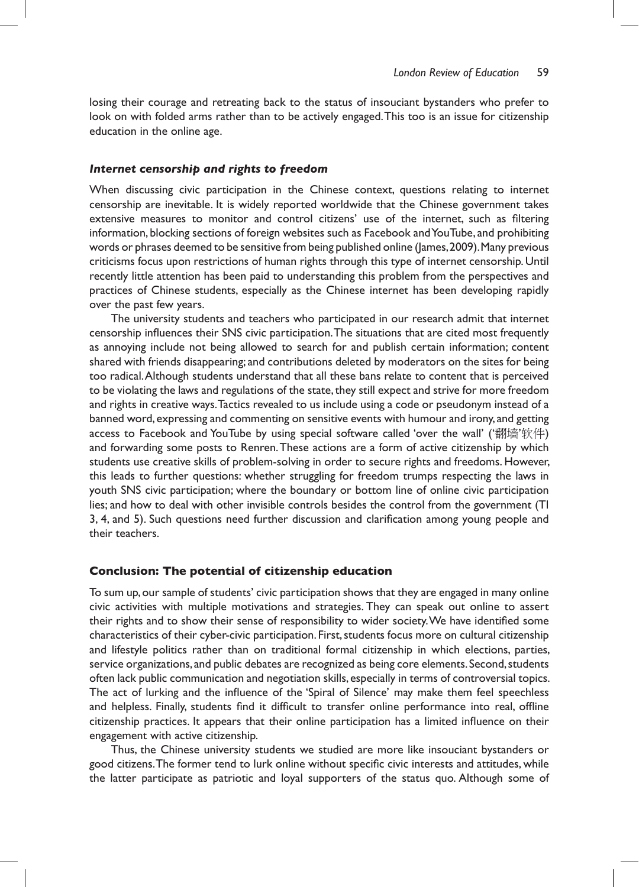losing their courage and retreating back to the status of insouciant bystanders who prefer to look on with folded arms rather than to be actively engaged. This too is an issue for citizenship education in the online age.

# *Internet censorship and rights to freedom*

When discussing civic participation in the Chinese context, questions relating to internet censorship are inevitable. It is widely reported worldwide that the Chinese government takes extensive measures to monitor and control citizens' use of the internet, such as filtering information, blocking sections of foreign websites such as Facebook and YouTube, and prohibiting words or phrases deemed to be sensitive from being published online (James, 2009). Many previous criticisms focus upon restrictions of human rights through this type of internet censorship. Until recently little attention has been paid to understanding this problem from the perspectives and practices of Chinese students, especially as the Chinese internet has been developing rapidly over the past few years.

The university students and teachers who participated in our research admit that internet censorship influences their SNS civic participation. The situations that are cited most frequently as annoying include not being allowed to search for and publish certain information; content shared with friends disappearing; and contributions deleted by moderators on the sites for being too radical. Although students understand that all these bans relate to content that is perceived to be violating the laws and regulations of the state, they still expect and strive for more freedom and rights in creative ways. Tactics revealed to us include using a code or pseudonym instead of a banned word, expressing and commenting on sensitive events with humour and irony, and getting access to Facebook and YouTube by using special software called 'over the wall' ('翻墙'软件) and forwarding some posts to Renren. These actions are a form of active citizenship by which students use creative skills of problem-solving in order to secure rights and freedoms. However, this leads to further questions: whether struggling for freedom trumps respecting the laws in youth SNS civic participation; where the boundary or bottom line of online civic participation lies; and how to deal with other invisible controls besides the control from the government (TI 3, 4, and 5). Such questions need further discussion and clarification among young people and their teachers.

# **Conclusion: The potential of citizenship education**

To sum up, our sample of students' civic participation shows that they are engaged in many online civic activities with multiple motivations and strategies. They can speak out online to assert their rights and to show their sense of responsibility to wider society. We have identified some characteristics of their cyber-civic participation. First, students focus more on cultural citizenship and lifestyle politics rather than on traditional formal citizenship in which elections, parties, service organizations, and public debates are recognized as being core elements. Second, students often lack public communication and negotiation skills, especially in terms of controversial topics. The act of lurking and the influence of the 'Spiral of Silence' may make them feel speechless and helpless. Finally, students find it difficult to transfer online performance into real, offline citizenship practices. It appears that their online participation has a limited influence on their engagement with active citizenship.

Thus, the Chinese university students we studied are more like insouciant bystanders or good citizens. The former tend to lurk online without specific civic interests and attitudes, while the latter participate as patriotic and loyal supporters of the status quo. Although some of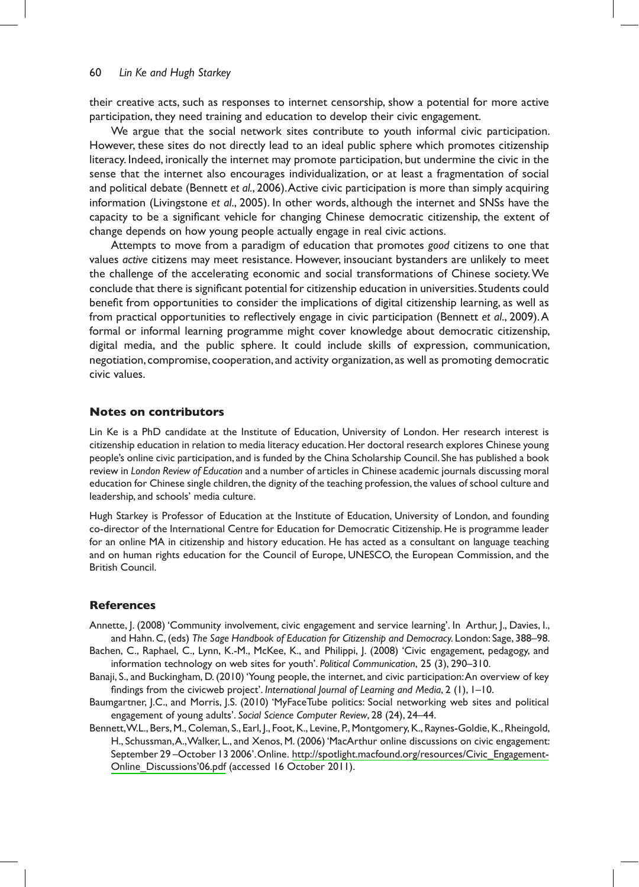their creative acts, such as responses to internet censorship, show a potential for more active participation, they need training and education to develop their civic engagement.

We argue that the social network sites contribute to youth informal civic participation. However, these sites do not directly lead to an ideal public sphere which promotes citizenship literacy. Indeed, ironically the internet may promote participation, but undermine the civic in the sense that the internet also encourages individualization, or at least a fragmentation of social and political debate (Bennett *et al.*, 2006). Active civic participation is more than simply acquiring information (Livingstone *et al*., 2005). In other words, although the internet and SNSs have the capacity to be a significant vehicle for changing Chinese democratic citizenship, the extent of change depends on how young people actually engage in real civic actions.

Attempts to move from a paradigm of education that promotes *good* citizens to one that values *active* citizens may meet resistance. However, insouciant bystanders are unlikely to meet the challenge of the accelerating economic and social transformations of Chinese society. We conclude that there is significant potential for citizenship education in universities. Students could benefit from opportunities to consider the implications of digital citizenship learning, as well as from practical opportunities to reflectively engage in civic participation (Bennett *et al*., 2009). A formal or informal learning programme might cover knowledge about democratic citizenship, digital media, and the public sphere. It could include skills of expression, communication, negotiation, compromise, cooperation, and activity organization, as well as promoting democratic civic values.

#### **Notes on contributors**

Lin Ke is a PhD candidate at the Institute of Education, University of London. Her research interest is citizenship education in relation to media literacy education. Her doctoral research explores Chinese young people's online civic participation, and is funded by the China Scholarship Council. She has published a book review in *London Review of Education* and a number of articles in Chinese academic journals discussing moral education for Chinese single children, the dignity of the teaching profession, the values of school culture and leadership, and schools' media culture.

Hugh Starkey is Professor of Education at the Institute of Education, University of London, and founding co-director of the International Centre for Education for Democratic Citizenship. He is programme leader for an online MA in citizenship and history education. He has acted as a consultant on language teaching and on human rights education for the Council of Europe, UNESCO, the European Commission, and the British Council.

# **References**

- Annette, J. (2008) 'Community involvement, civic engagement and service learning'. In Arthur, J., Davies, I., and Hahn. C, (eds) *The Sage Handbook of Education for Citizenship and Democracy.* London: Sage, 388–98.
- Bachen, C., Raphael, C., Lynn, K.-M., McKee, K., and Philippi, J. (2008) 'Civic engagement, pedagogy, and information technology on web sites for youth'. *Political Communication*, 25 (3), 290–310.
- Banaji, S., and Buckingham, D. (2010) 'Young people, the internet, and civic participation: An overview of key findings from the civicweb project'. *International Journal of Learning and Media*, 2 (1), 1–10.
- Baumgartner, J.C., and Morris, J.S. (2010) 'MyFaceTube politics: Social networking web sites and political engagement of young adults'. *Social Science Computer Review*, 28 (24), 24–44.
- Bennett, W.L., Bers, M., Coleman, S., Earl, J., Foot, K., Levine, P., Montgomery, K., Raynes-Goldie, K., Rheingold, H., Schussman, A., Walker, L., and Xenos, M. (2006) 'MacArthur online discussions on civic engagement: September 29 –October 13 2006'. Online. [http://spotlight.macfound.org/resources/Civic\\_Engagement-](http://spotlight.macfound.org/resources/Civic_Engagement-Online_Discussions)[Online\\_Discussions'06.pdf](http://spotlight.macfound.org/resources/Civic_Engagement-Online_Discussions) (accessed 16 October 2011).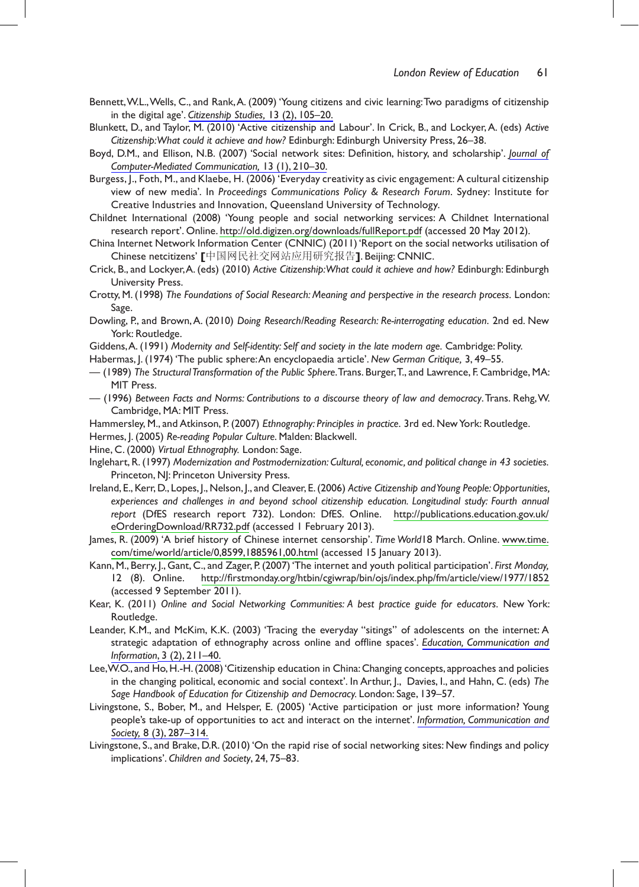- Bennett, W.L., Wells, C., and Rank, A. (2009) 'Young citizens and civic learning: Two paradigms of citizenship in the digital age'. *[Citizenship Studies,](http://www.ingentaconnect.com/content/external-references?article=1362-1025()13:2L.105[aid=10280696])* 13 (2), 105–20.
- Blunkett, D., and Taylor, M. (2010) 'Active citizenship and Labour'. In Crick, B., and Lockyer, A. (eds) *Active Citizenship: What could it achieve and how?* Edinburgh: Edinburgh University Press, 26–38.
- Boyd, D.M., and Ellison, N.B. (2007) 'Social network sites: Definition, history, and scholarship'. *[Journal of](http://www.ingentaconnect.com/content/external-references?article=1083-6101()13:1L.210[aid=9227420]) [Computer-Mediated Communication,](http://www.ingentaconnect.com/content/external-references?article=1083-6101()13:1L.210[aid=9227420])* 13 (1), 210–30.
- Burgess, J., Foth, M., and Klaebe, H. (2006) 'Everyday creativity as civic engagement: A cultural citizenship view of new media'. In *Proceedings Communications Policy & Research Forum*. Sydney: Institute for Creative Industries and Innovation, Queensland University of Technology.
- Childnet International (2008) 'Young people and social networking services: A Childnet International research report'. Online.<http://old.digizen.org/downloads/fullReport.pdf> (accessed 20 May 2012).
- China Internet Network Information Center (CNNIC) (2011) 'Report on the social networks utilisation of Chinese netcitizens' **[**中国网民社交网站应用研究报告**]**. Beijing: CNNIC.
- Crick, B., and Lockyer, A. (eds) (2010) *Active Citizenship: What could it achieve and how?* Edinburgh: Edinburgh University Press.
- Crotty, M. (1998) *The Foundations of Social Research: Meaning and perspective in the research process.* London: Sage.
- Dowling, P., and Brown, A. (2010) *Doing Research/Reading Research: Re-interrogating education*. 2nd ed. New York: Routledge.
- Giddens, A. (1991) *Modernity and Self-identity: Self and society in the late modern age.* Cambridge: Polity.
- Habermas, J. (1974) 'The public sphere: An encyclopaedia article'. *New German Critique,* 3, 49–55.
- (1989) *The Structural Transformation of the Public Sphere*. Trans. Burger, T., and Lawrence, F. Cambridge, MA: MIT Press.
- –– (1996) *Between Facts and Norms: Contributions to a discourse theory of law and democracy*. Trans. Rehg, W. Cambridge, MA: MIT Press.
- Hammersley, M., and Atkinson, P. (2007) *Ethnography: Principles in practice*. 3rd ed. New York: Routledge.
- Hermes, J. (2005) *Re-reading Popular Culture*. Malden: Blackwell.
- Hine, C. (2000) *Virtual Ethnography.* London: Sage.
- Inglehart, R. (1997) *Modernization and Postmodernization: Cultural, economic, and political change in 43 societies.* Princeton, NJ: Princeton University Press.
- Ireland, E., Kerr, D., Lopes, J., Nelson, J., and Cleaver, E. (2006) *Active Citizenship and Young People: Opportunities, experiences and challenges in and beyond school citizenship education. Longitudinal study: Fourth annual report* (DfES research report 732). London: DfES. Online. [http://publications.education.gov.uk/](http://publications.education.gov.uk/eOrderingDownload/RR732.pdf) [eOrderingDownload/RR732.pdf](http://publications.education.gov.uk/eOrderingDownload/RR732.pdf) (accessed 1 February 2013).
- James, R. (2009) 'A brief history of Chinese internet censorship'. *Time World*18 March. Online. [www.time.](http://www.time.com/time/world/article/0,8599,1885961,00.html) [com/time/world/article/0,8599,1885961,00.html](http://www.time.com/time/world/article/0,8599,1885961,00.html) (accessed 15 January 2013).
- Kann, M., Berry, J., Gant, C., and Zager, P. (2007) 'The internet and youth political participation'. *First Monday,* 12 (8). Online. <http://firstmonday.org/htbin/cgiwrap/bin/ojs/index.php/fm/article/view/1977/1852> (accessed 9 September 2011).
- Kear, K. (2011) *Online and Social Networking Communities: A best practice guide for educators.* New York: Routledge.
- Leander, K.M., and McKim, K.K. (2003) 'Tracing the everyday "sitings" of adolescents on the internet: A strategic adaptation of ethnography across online and offline spaces'. *[Education, Communication and](http://www.ingentaconnect.com/content/external-references?article=1463-631x()3:2L.211[aid=10280695])  [Information](http://www.ingentaconnect.com/content/external-references?article=1463-631x()3:2L.211[aid=10280695])*[, 3 \(2\), 211–40.](http://www.ingentaconnect.com/content/external-references?article=1463-631x()3:2L.211[aid=10280695])
- Lee, W.O., and Ho, H.-H. (2008) 'Citizenship education in China: Changing concepts, approaches and policies in the changing political, economic and social context'. In Arthur, J., Davies, I., and Hahn, C. (eds) *The Sage Handbook of Education for Citizenship and Democracy.* London: Sage, 139–57.
- Livingstone, S., Bober, M., and Helsper, E. (2005) 'Active participation or just more information? Young people's take-up of opportunities to act and interact on the internet'. *[Information, Communication and](http://www.ingentaconnect.com/content/external-references?article=1369-118x()8:3L.287[aid=9120933])  Society,* [8 \(3\), 287–314.](http://www.ingentaconnect.com/content/external-references?article=1369-118x()8:3L.287[aid=9120933])
- Livingstone, S., and Brake, D.R. (2010) 'On the rapid rise of social networking sites: New findings and policy implications'. *Children and Society*, 24, 75–83.